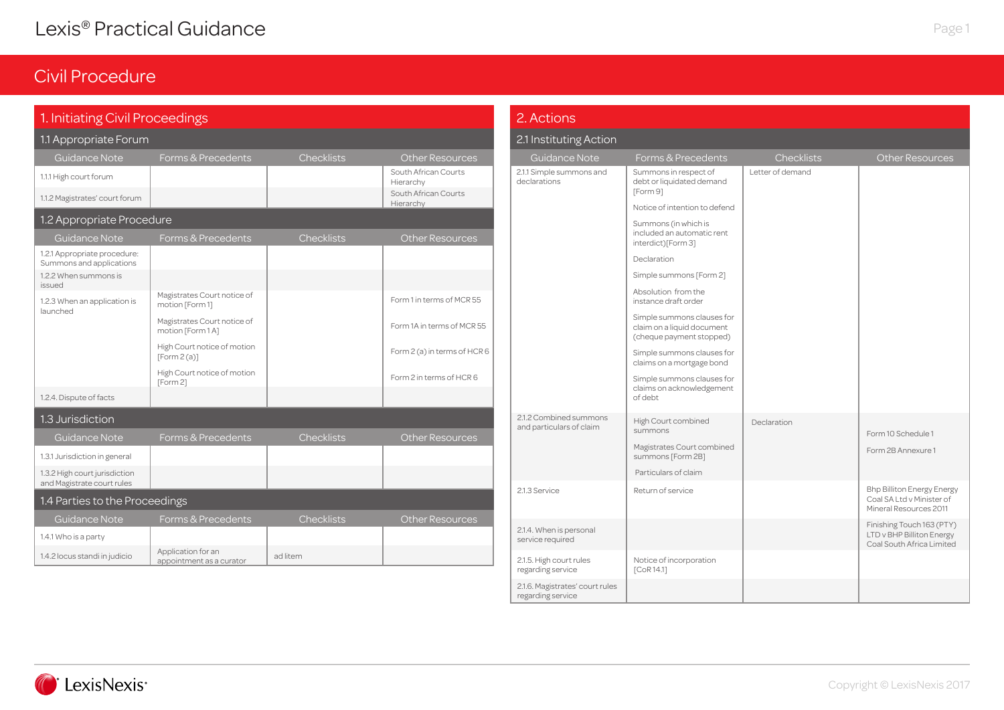### Civil Procedure

| 1. Initiating Civil Proceedings                             |                                                  |                   |                                   | 2. Actions                                   |                                                                                      |                   |                                                                                          |
|-------------------------------------------------------------|--------------------------------------------------|-------------------|-----------------------------------|----------------------------------------------|--------------------------------------------------------------------------------------|-------------------|------------------------------------------------------------------------------------------|
| 1.1 Appropriate Forum                                       |                                                  |                   |                                   | 2.1 Instituting Action                       |                                                                                      |                   |                                                                                          |
| <b>Guidance Note</b>                                        | Forms & Precedents                               | <b>Checklists</b> | <b>Other Resources</b>            | Guidance Note                                | Forms & Precedents                                                                   | <b>Checklists</b> | <b>Other Resources</b>                                                                   |
| 1.1.1 High court forum                                      |                                                  |                   | South African Courts<br>Hierarchy | 2.1.1 Simple summons and<br>declarations     | Summons in respect of<br>debt or liquidated demand<br>[Form 9]                       | Letter of demand  |                                                                                          |
| 1.1.2 Magistrates' court forum                              |                                                  |                   | South African Courts<br>Hierarchy |                                              | Notice of intention to defend                                                        |                   |                                                                                          |
| 1.2 Appropriate Procedure                                   |                                                  |                   |                                   |                                              | Summons (in which is                                                                 |                   |                                                                                          |
| Guidance Note                                               | Forms & Precedents                               | <b>Checklists</b> | <b>Other Resources</b>            |                                              | included an automatic rent<br>interdict)[Form 3]                                     |                   |                                                                                          |
| 1.2.1 Appropriate procedure:<br>Summons and applications    |                                                  |                   |                                   |                                              | Declaration                                                                          |                   |                                                                                          |
| 1.2.2 When summons is<br>issued                             |                                                  |                   |                                   |                                              | Simple summons [Form 2]                                                              |                   |                                                                                          |
| 1.2.3 When an application is                                | Magistrates Court notice of<br>motion [Form 1]   |                   | Form 1 in terms of MCR 55         |                                              | Absolution from the<br>instance draft order                                          |                   |                                                                                          |
| launched                                                    | Magistrates Court notice of<br>motion [Form 1 A] |                   | Form 1A in terms of MCR 55        |                                              | Simple summons clauses for<br>claim on a liquid document<br>(cheque payment stopped) |                   |                                                                                          |
|                                                             | High Court notice of motion<br>[Form2(a)]        |                   | Form 2 (a) in terms of HCR 6      |                                              | Simple summons clauses for<br>claims on a mortgage bond                              |                   |                                                                                          |
| 1.2.4. Dispute of facts                                     | High Court notice of motion<br>[Form 2]          |                   | Form 2 in terms of HCR 6          |                                              | Simple summons clauses for<br>claims on acknowledgement<br>of debt                   |                   |                                                                                          |
| 1.3 Jurisdiction                                            |                                                  |                   |                                   | 2.1.2 Combined summons                       | High Court combined                                                                  | Declaration       |                                                                                          |
| <b>Guidance Note</b>                                        | Forms & Precedents                               | <b>Checklists</b> | <b>Other Resources</b>            | and particulars of claim                     | summons                                                                              |                   | Form 10 Schedule 1                                                                       |
| 1.3.1 Jurisdiction in general                               |                                                  |                   |                                   |                                              | Magistrates Court combined<br>summons [Form 2B]                                      |                   | Form 2B Annexure 1                                                                       |
| 1.3.2 High court jurisdiction<br>and Magistrate court rules |                                                  |                   |                                   |                                              | Particulars of claim                                                                 |                   |                                                                                          |
| 1.4 Parties to the Proceedings                              |                                                  |                   |                                   | 2.1.3 Service                                | Return of service                                                                    |                   | <b>Bhp Billiton Energy Energy</b><br>Coal SA Ltd v Minister of<br>Mineral Resources 2011 |
| Guidance Note                                               | Forms & Precedents                               | <b>Checklists</b> | <b>Other Resources</b>            |                                              |                                                                                      |                   | Finishing Touch 163 (PTY)                                                                |
| 1.4.1 Who is a party                                        |                                                  |                   |                                   | 2.1.4. When is personal<br>service required  |                                                                                      |                   | LTD v BHP Billiton Energy<br>Coal South Africa Limited                                   |
| 1.4.2 locus standi in judicio                               | Application for an<br>appointment as a curator   | ad litem          |                                   | 2.1.5. High court rules<br>regarding service | Notice of incorporation<br>[CoR14.1]                                                 |                   |                                                                                          |

2.1.6. Magistrates' court rules regarding service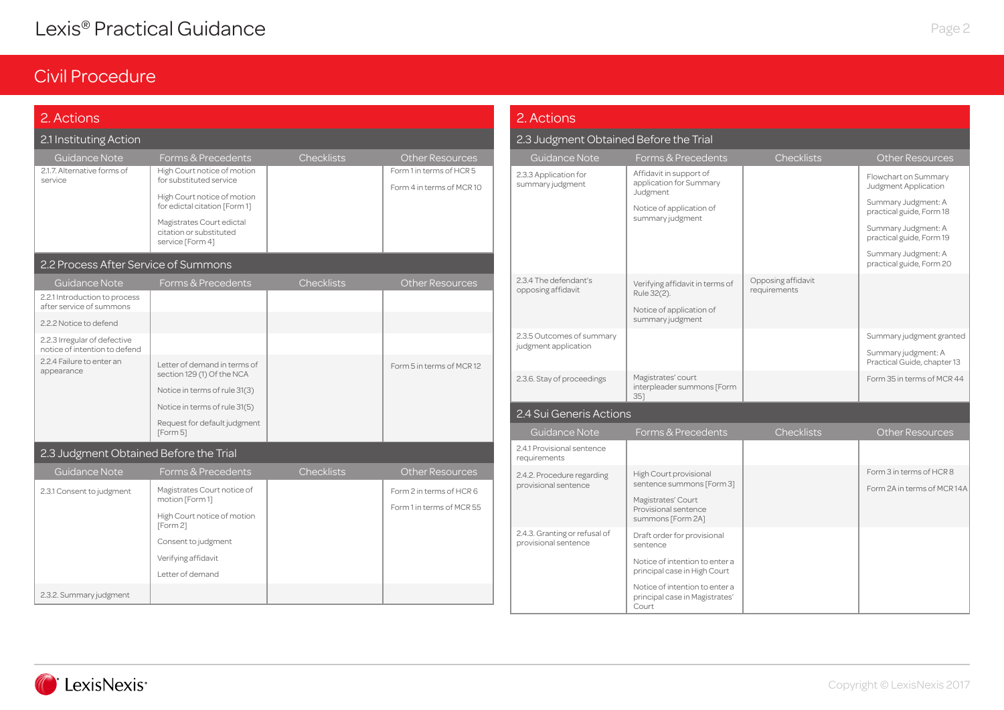| 2. Actions                                                                                           |                                                                                                                                                                                                    |                   |                                                                          | 2. Actions                                            |                                                                                                                                                                               |                                    |                                                                                                                                                    |  |
|------------------------------------------------------------------------------------------------------|----------------------------------------------------------------------------------------------------------------------------------------------------------------------------------------------------|-------------------|--------------------------------------------------------------------------|-------------------------------------------------------|-------------------------------------------------------------------------------------------------------------------------------------------------------------------------------|------------------------------------|----------------------------------------------------------------------------------------------------------------------------------------------------|--|
| 2.1 Instituting Action                                                                               |                                                                                                                                                                                                    |                   |                                                                          | 2.3 Judgment Obtained Before the Trial                |                                                                                                                                                                               |                                    |                                                                                                                                                    |  |
| Guidance Note                                                                                        | Forms & Precedents                                                                                                                                                                                 | Checklists        | <b>Other Resources</b>                                                   | Guidance Note                                         | Forms & Precedents                                                                                                                                                            | <b>Checklists</b>                  | <b>Other Resources</b>                                                                                                                             |  |
| 2.1.7. Alternative forms of<br>service                                                               | High Court notice of motion<br>for substituted service<br>High Court notice of motion<br>for edictal citation [Form 1]<br>Magistrates Court edictal<br>citation or substituted<br>service [Form 4] |                   | Form 1 in terms of HCR 5<br>Form 4 in terms of MCR10                     | 2.3.3 Application for<br>summary judgment             | Affidavit in support of<br>application for Summary<br>Judgment<br>Notice of application of<br>summary judgment                                                                |                                    | Flowchart on Summary<br>Judgment Application<br>Summary Judgment: A<br>practical guide, Form 18<br>Summary Judgment: A<br>practical guide, Form 19 |  |
| 2.2 Process After Service of Summons                                                                 |                                                                                                                                                                                                    |                   |                                                                          |                                                       |                                                                                                                                                                               |                                    | Summary Judgment: A<br>practical guide, Form 20                                                                                                    |  |
| Guidance Note<br>2.2.1 Introduction to process<br>after service of summons<br>2.2.2 Notice to defend | Forms & Precedents                                                                                                                                                                                 | <b>Checklists</b> | <b>Other Resources</b>                                                   | 2.3.4 The defendant's<br>opposing affidavit           | Verifying affidavit in terms of<br>Rule 32(2).<br>Notice of application of<br>summary judgment                                                                                | Opposing affidavit<br>requirements |                                                                                                                                                    |  |
| 2.2.3 Irregular of defective<br>notice of intention to defend                                        |                                                                                                                                                                                                    |                   |                                                                          | 2.3.5 Outcomes of summary<br>judgment application     |                                                                                                                                                                               |                                    | Summary judgment granted<br>Summary judgment: A                                                                                                    |  |
| 2.2.4 Failure to enter an<br>appearance                                                              | Letter of demand in terms of<br>section 129 (1) Of the NCA<br>Notice in terms of rule 31(3)                                                                                                        |                   | Form 5 in terms of MCR12                                                 | 2.3.6. Stay of proceedings                            | Magistrates' court<br>interpleader summons [Form<br>351                                                                                                                       |                                    | Practical Guide, chapter 13<br>Form 35 in terms of MCR 44                                                                                          |  |
|                                                                                                      | Notice in terms of rule 31(5)                                                                                                                                                                      |                   |                                                                          | 2.4 Sui Generis Actions                               |                                                                                                                                                                               |                                    |                                                                                                                                                    |  |
|                                                                                                      | Request for default judgment<br>[Form 5]                                                                                                                                                           |                   |                                                                          | <b>Guidance Note</b>                                  | Forms & Precedents                                                                                                                                                            | <b>Checklists</b>                  | Other Resources                                                                                                                                    |  |
| 2.3 Judgment Obtained Before the Trial                                                               |                                                                                                                                                                                                    |                   |                                                                          | 2.4.1 Provisional sentence<br>requirements            |                                                                                                                                                                               |                                    |                                                                                                                                                    |  |
| Guidance Note<br>2.3.1 Consent to judgment                                                           | Forms & Precedents<br>Magistrates Court notice of<br>motion [Form 1]<br>High Court notice of motion<br>[Form 2]                                                                                    | <b>Checklists</b> | Other Resources<br>Form 2 in terms of HCR 6<br>Form 1 in terms of MCR 55 | 2.4.2. Procedure regarding<br>provisional sentence    | High Court provisional<br>sentence summons [Form 3]<br>Magistrates' Court<br>Provisional sentence<br>summons [Form 2A]                                                        |                                    | Form 3 in terms of HCR 8<br>Form 2A in terms of MCR 14A                                                                                            |  |
| 2.3.2. Summary judgment                                                                              | Consent to judgment<br>Verifying affidavit<br>Letter of demand                                                                                                                                     |                   |                                                                          | 2.4.3. Granting or refusal of<br>provisional sentence | Draft order for provisional<br>sentence<br>Notice of intention to enter a<br>principal case in High Court<br>Notice of intention to enter a<br>principal case in Magistrates' |                                    |                                                                                                                                                    |  |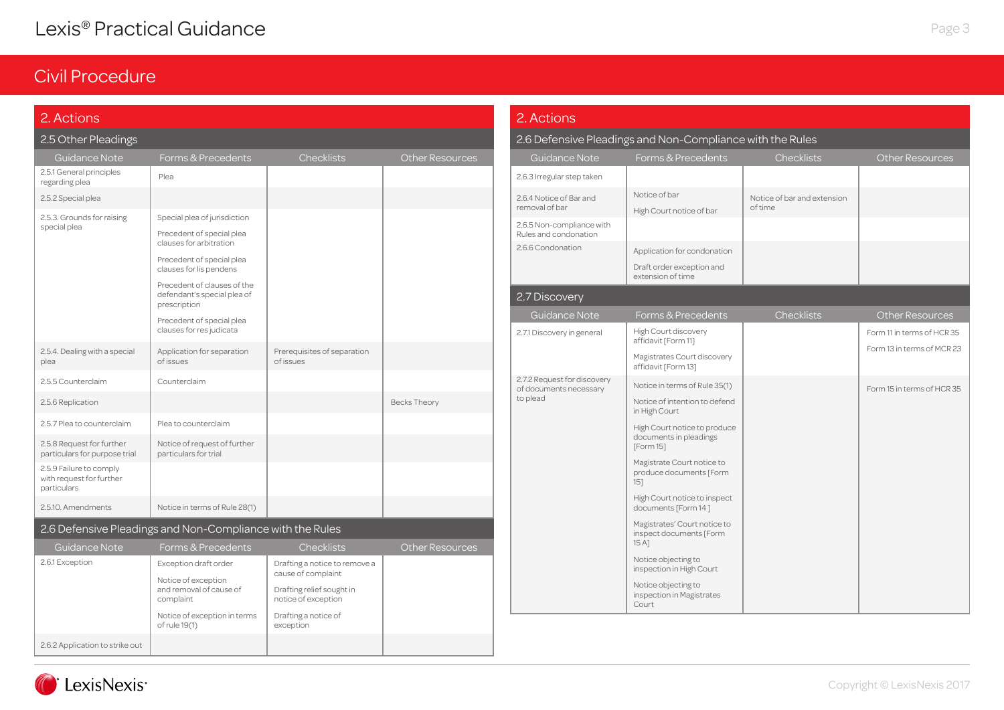| 2. Actions                                                         |                                                                            |                                                     |                        | 2. Actions                                            |                                                                               |  |
|--------------------------------------------------------------------|----------------------------------------------------------------------------|-----------------------------------------------------|------------------------|-------------------------------------------------------|-------------------------------------------------------------------------------|--|
| 2.5 Other Pleadings                                                |                                                                            |                                                     |                        |                                                       | 2.6 Defensive Pleadings and Non-Compliance with the Rules                     |  |
| <b>Guidance Note</b>                                               | Forms & Precedents                                                         | Checklists                                          | <b>Other Resources</b> | Guidance Note                                         | Forms & Precedents                                                            |  |
| 2.5.1 General principles<br>regarding plea                         | Plea                                                                       |                                                     |                        | 2.6.3 Irregular step taken                            |                                                                               |  |
| 2.5.2 Special plea                                                 |                                                                            |                                                     |                        | 2.6.4 Notice of Bar and<br>removal of bar             | Notice of bar<br>High Court notice of bar                                     |  |
| 2.5.3. Grounds for raising<br>special plea                         | Special plea of jurisdiction                                               |                                                     |                        | 2.6.5 Non-compliance with                             |                                                                               |  |
|                                                                    | Precedent of special plea<br>clauses for arbitration                       |                                                     |                        | Rules and condonation<br>2.6.6 Condonation            |                                                                               |  |
|                                                                    | Precedent of special plea<br>clauses for lis pendens                       |                                                     |                        |                                                       | Application for condonation<br>Draft order exception and<br>extension of time |  |
|                                                                    | Precedent of clauses of the<br>defendant's special plea of<br>prescription |                                                     |                        | 2.7 Discovery                                         |                                                                               |  |
|                                                                    | Precedent of special plea                                                  |                                                     |                        | Guidance Note                                         | Forms & Precedents                                                            |  |
|                                                                    | clauses for res judicata                                                   |                                                     |                        | 2.7.1 Discovery in general                            | High Court discovery<br>affidavit [Form 11]                                   |  |
| 2.5.4. Dealing with a special<br>plea                              | Application for separation<br>of issues                                    | Prerequisites of separation<br>of issues            |                        |                                                       | Magistrates Court discovery<br>affidavit [Form 13]                            |  |
| 2.5.5 Counterclaim                                                 | Counterclaim                                                               |                                                     |                        | 2.7.2 Request for discovery<br>of documents necessary | Notice in terms of Rule 35(1)                                                 |  |
| 2.5.6 Replication                                                  |                                                                            |                                                     | <b>Becks Theory</b>    | to plead                                              | Notice of intention to defend<br>in High Court                                |  |
| 2.5.7 Plea to counterclaim                                         | Plea to counterclaim                                                       |                                                     |                        |                                                       | High Court notice to produce<br>documents in pleadings                        |  |
| 2.5.8 Request for further<br>particulars for purpose trial         | Notice of request of further<br>particulars for trial                      |                                                     |                        |                                                       | [Form 15]                                                                     |  |
| 2.5.9 Failure to comply<br>with request for further<br>particulars |                                                                            |                                                     |                        |                                                       | Magistrate Court notice to<br>produce documents [Form<br>$15$ ]               |  |
| 2.5.10. Amendments                                                 | Notice in terms of Rule 28(1)                                              |                                                     |                        |                                                       | High Court notice to inspect<br>documents [Form 14]                           |  |
|                                                                    | 2.6 Defensive Pleadings and Non-Compliance with the Rules                  |                                                     |                        |                                                       | Magistrates' Court notice to<br>inspect documents [Form                       |  |
| Guidance Note                                                      | Forms & Precedents                                                         | <b>Checklists</b>                                   | <b>Other Resources</b> |                                                       | $15A$ ]                                                                       |  |
| 2.6.1 Exception                                                    | Exception draft order<br>Notice of exception                               | Drafting a notice to remove a<br>cause of complaint |                        |                                                       | Notice objecting to<br>inspection in High Court                               |  |
|                                                                    | and removal of cause of<br>complaint                                       | Drafting relief sought in<br>notice of exception    |                        |                                                       | Notice objecting to<br>inspection in Magistrates<br>Court                     |  |
|                                                                    | Notice of exception in terms<br>of rule 19(1)                              | Drafting a notice of<br>exception                   |                        |                                                       |                                                                               |  |
| 2.6.2 Application to strike out                                    |                                                                            |                                                     |                        |                                                       |                                                                               |  |

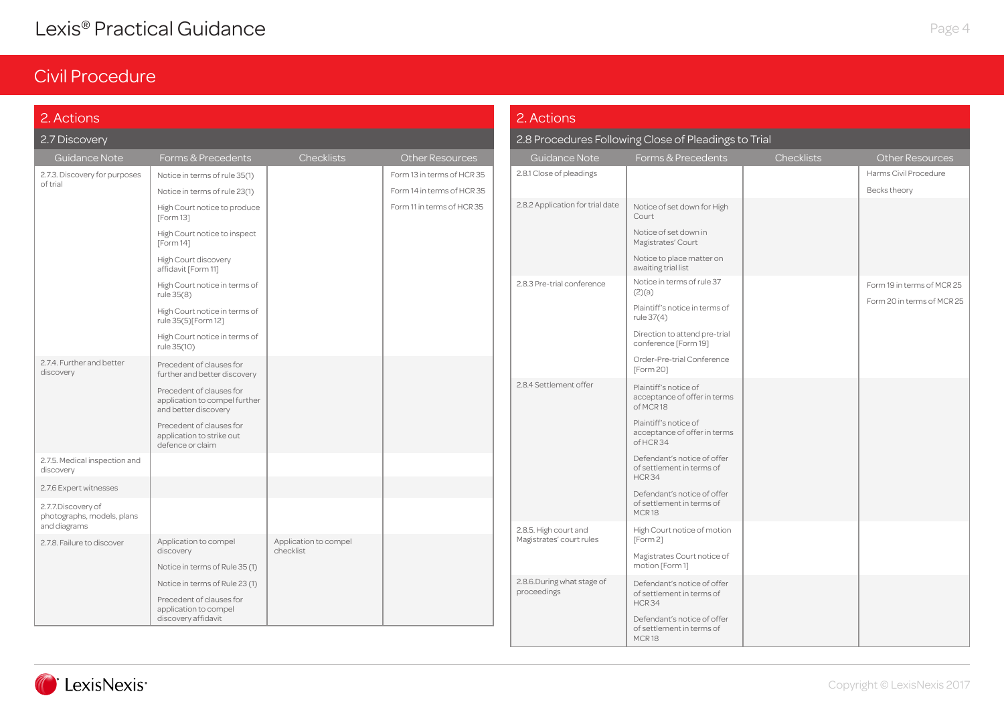| 2.8 Procedures Following Close of Pleadings to Trial<br>2.7 Discovery<br>Guidance Note<br>Checklists<br>Checklists<br>Forms & Precedents<br><b>Other Resources</b><br><b>Guidance Note</b><br>Forms & Precedents<br>Other Resources<br>2.8.1 Close of pleadings<br>Harms Civil Procedure<br>2.7.3. Discovery for purposes<br>Notice in terms of rule 35(1)<br>Form 13 in terms of HCR 35<br>of trial<br>Becks theory<br>Notice in terms of rule 23(1)<br>Form 14 in terms of HCR 35<br>2.8.2 Application for trial date<br>Notice of set down for High<br>Form 11 in terms of HCR 35<br>High Court notice to produce<br>Court<br>[Form 13]<br>Notice of set down in<br>High Court notice to inspect<br>Magistrates' Court<br>[Form 14]<br>Notice to place matter on<br>High Court discovery<br>awaiting trial list<br>affidavit [Form 11]<br>Notice in terms of rule 37<br>2.8.3 Pre-trial conference<br>Form 19 in terms of MCR 25<br>High Court notice in terms of<br>(2)(a)<br>rule 35(8)<br>Form 20 in terms of MCR 25<br>Plaintiff's notice in terms of<br>High Court notice in terms of<br>rule 37(4)<br>rule 35(5)[Form 12]<br>Direction to attend pre-trial<br>High Court notice in terms of<br>conference [Form 19]<br>rule 35(10)<br>Order-Pre-trial Conference<br>2.7.4. Further and better<br>Precedent of clauses for<br>[Form 20]<br>discovery<br>further and better discovery<br>2.8.4 Settlement offer<br>Plaintiff's notice of<br>Precedent of clauses for<br>acceptance of offer in terms<br>application to compel further<br>of MCR18<br>and better discovery<br>Plaintiff's notice of<br>Precedent of clauses for<br>acceptance of offer in terms<br>application to strike out<br>of HCR 34<br>defence or claim<br>Defendant's notice of offer<br>2.7.5. Medical inspection and<br>of settlement in terms of<br>discovery<br>HCR34<br>2.7.6 Expert witnesses<br>Defendant's notice of offer<br>of settlement in terms of<br>2.7.7.Discovery of<br>MCR18<br>photographs, models, plans<br>and diagrams<br>2.8.5. High court and<br>High Court notice of motion<br>Magistrates' court rules<br>[Form 2]<br>Application to compel<br>Application to compel<br>2.7.8. Failure to discover<br>checklist<br>discovery<br>Magistrates Court notice of<br>motion [Form 1]<br>Notice in terms of Rule 35 (1)<br>2.8.6.During what stage of<br>Notice in terms of Rule 23 (1)<br>Defendant's notice of offer<br>proceedings<br>of settlement in terms of<br>Precedent of clauses for<br>HCR34<br>application to compel<br>discovery affidavit<br>Defendant's notice of offer | 2. Actions |  |  | 2. Actions |                           |  |
|----------------------------------------------------------------------------------------------------------------------------------------------------------------------------------------------------------------------------------------------------------------------------------------------------------------------------------------------------------------------------------------------------------------------------------------------------------------------------------------------------------------------------------------------------------------------------------------------------------------------------------------------------------------------------------------------------------------------------------------------------------------------------------------------------------------------------------------------------------------------------------------------------------------------------------------------------------------------------------------------------------------------------------------------------------------------------------------------------------------------------------------------------------------------------------------------------------------------------------------------------------------------------------------------------------------------------------------------------------------------------------------------------------------------------------------------------------------------------------------------------------------------------------------------------------------------------------------------------------------------------------------------------------------------------------------------------------------------------------------------------------------------------------------------------------------------------------------------------------------------------------------------------------------------------------------------------------------------------------------------------------------------------------------------------------------------------------------------------------------------------------------------------------------------------------------------------------------------------------------------------------------------------------------------------------------------------------------------------------------------------------------------------------------------------------------------------------------------------------------------------------------------------------------------------------------------------------------|------------|--|--|------------|---------------------------|--|
|                                                                                                                                                                                                                                                                                                                                                                                                                                                                                                                                                                                                                                                                                                                                                                                                                                                                                                                                                                                                                                                                                                                                                                                                                                                                                                                                                                                                                                                                                                                                                                                                                                                                                                                                                                                                                                                                                                                                                                                                                                                                                                                                                                                                                                                                                                                                                                                                                                                                                                                                                                                        |            |  |  |            |                           |  |
|                                                                                                                                                                                                                                                                                                                                                                                                                                                                                                                                                                                                                                                                                                                                                                                                                                                                                                                                                                                                                                                                                                                                                                                                                                                                                                                                                                                                                                                                                                                                                                                                                                                                                                                                                                                                                                                                                                                                                                                                                                                                                                                                                                                                                                                                                                                                                                                                                                                                                                                                                                                        |            |  |  |            |                           |  |
|                                                                                                                                                                                                                                                                                                                                                                                                                                                                                                                                                                                                                                                                                                                                                                                                                                                                                                                                                                                                                                                                                                                                                                                                                                                                                                                                                                                                                                                                                                                                                                                                                                                                                                                                                                                                                                                                                                                                                                                                                                                                                                                                                                                                                                                                                                                                                                                                                                                                                                                                                                                        |            |  |  |            |                           |  |
|                                                                                                                                                                                                                                                                                                                                                                                                                                                                                                                                                                                                                                                                                                                                                                                                                                                                                                                                                                                                                                                                                                                                                                                                                                                                                                                                                                                                                                                                                                                                                                                                                                                                                                                                                                                                                                                                                                                                                                                                                                                                                                                                                                                                                                                                                                                                                                                                                                                                                                                                                                                        |            |  |  |            |                           |  |
|                                                                                                                                                                                                                                                                                                                                                                                                                                                                                                                                                                                                                                                                                                                                                                                                                                                                                                                                                                                                                                                                                                                                                                                                                                                                                                                                                                                                                                                                                                                                                                                                                                                                                                                                                                                                                                                                                                                                                                                                                                                                                                                                                                                                                                                                                                                                                                                                                                                                                                                                                                                        |            |  |  |            |                           |  |
|                                                                                                                                                                                                                                                                                                                                                                                                                                                                                                                                                                                                                                                                                                                                                                                                                                                                                                                                                                                                                                                                                                                                                                                                                                                                                                                                                                                                                                                                                                                                                                                                                                                                                                                                                                                                                                                                                                                                                                                                                                                                                                                                                                                                                                                                                                                                                                                                                                                                                                                                                                                        |            |  |  |            |                           |  |
|                                                                                                                                                                                                                                                                                                                                                                                                                                                                                                                                                                                                                                                                                                                                                                                                                                                                                                                                                                                                                                                                                                                                                                                                                                                                                                                                                                                                                                                                                                                                                                                                                                                                                                                                                                                                                                                                                                                                                                                                                                                                                                                                                                                                                                                                                                                                                                                                                                                                                                                                                                                        |            |  |  |            |                           |  |
|                                                                                                                                                                                                                                                                                                                                                                                                                                                                                                                                                                                                                                                                                                                                                                                                                                                                                                                                                                                                                                                                                                                                                                                                                                                                                                                                                                                                                                                                                                                                                                                                                                                                                                                                                                                                                                                                                                                                                                                                                                                                                                                                                                                                                                                                                                                                                                                                                                                                                                                                                                                        |            |  |  |            |                           |  |
|                                                                                                                                                                                                                                                                                                                                                                                                                                                                                                                                                                                                                                                                                                                                                                                                                                                                                                                                                                                                                                                                                                                                                                                                                                                                                                                                                                                                                                                                                                                                                                                                                                                                                                                                                                                                                                                                                                                                                                                                                                                                                                                                                                                                                                                                                                                                                                                                                                                                                                                                                                                        |            |  |  |            |                           |  |
|                                                                                                                                                                                                                                                                                                                                                                                                                                                                                                                                                                                                                                                                                                                                                                                                                                                                                                                                                                                                                                                                                                                                                                                                                                                                                                                                                                                                                                                                                                                                                                                                                                                                                                                                                                                                                                                                                                                                                                                                                                                                                                                                                                                                                                                                                                                                                                                                                                                                                                                                                                                        |            |  |  |            |                           |  |
|                                                                                                                                                                                                                                                                                                                                                                                                                                                                                                                                                                                                                                                                                                                                                                                                                                                                                                                                                                                                                                                                                                                                                                                                                                                                                                                                                                                                                                                                                                                                                                                                                                                                                                                                                                                                                                                                                                                                                                                                                                                                                                                                                                                                                                                                                                                                                                                                                                                                                                                                                                                        |            |  |  |            |                           |  |
|                                                                                                                                                                                                                                                                                                                                                                                                                                                                                                                                                                                                                                                                                                                                                                                                                                                                                                                                                                                                                                                                                                                                                                                                                                                                                                                                                                                                                                                                                                                                                                                                                                                                                                                                                                                                                                                                                                                                                                                                                                                                                                                                                                                                                                                                                                                                                                                                                                                                                                                                                                                        |            |  |  |            |                           |  |
|                                                                                                                                                                                                                                                                                                                                                                                                                                                                                                                                                                                                                                                                                                                                                                                                                                                                                                                                                                                                                                                                                                                                                                                                                                                                                                                                                                                                                                                                                                                                                                                                                                                                                                                                                                                                                                                                                                                                                                                                                                                                                                                                                                                                                                                                                                                                                                                                                                                                                                                                                                                        |            |  |  |            |                           |  |
|                                                                                                                                                                                                                                                                                                                                                                                                                                                                                                                                                                                                                                                                                                                                                                                                                                                                                                                                                                                                                                                                                                                                                                                                                                                                                                                                                                                                                                                                                                                                                                                                                                                                                                                                                                                                                                                                                                                                                                                                                                                                                                                                                                                                                                                                                                                                                                                                                                                                                                                                                                                        |            |  |  |            |                           |  |
|                                                                                                                                                                                                                                                                                                                                                                                                                                                                                                                                                                                                                                                                                                                                                                                                                                                                                                                                                                                                                                                                                                                                                                                                                                                                                                                                                                                                                                                                                                                                                                                                                                                                                                                                                                                                                                                                                                                                                                                                                                                                                                                                                                                                                                                                                                                                                                                                                                                                                                                                                                                        |            |  |  |            |                           |  |
|                                                                                                                                                                                                                                                                                                                                                                                                                                                                                                                                                                                                                                                                                                                                                                                                                                                                                                                                                                                                                                                                                                                                                                                                                                                                                                                                                                                                                                                                                                                                                                                                                                                                                                                                                                                                                                                                                                                                                                                                                                                                                                                                                                                                                                                                                                                                                                                                                                                                                                                                                                                        |            |  |  |            |                           |  |
|                                                                                                                                                                                                                                                                                                                                                                                                                                                                                                                                                                                                                                                                                                                                                                                                                                                                                                                                                                                                                                                                                                                                                                                                                                                                                                                                                                                                                                                                                                                                                                                                                                                                                                                                                                                                                                                                                                                                                                                                                                                                                                                                                                                                                                                                                                                                                                                                                                                                                                                                                                                        |            |  |  |            |                           |  |
|                                                                                                                                                                                                                                                                                                                                                                                                                                                                                                                                                                                                                                                                                                                                                                                                                                                                                                                                                                                                                                                                                                                                                                                                                                                                                                                                                                                                                                                                                                                                                                                                                                                                                                                                                                                                                                                                                                                                                                                                                                                                                                                                                                                                                                                                                                                                                                                                                                                                                                                                                                                        |            |  |  |            | of settlement in terms of |  |

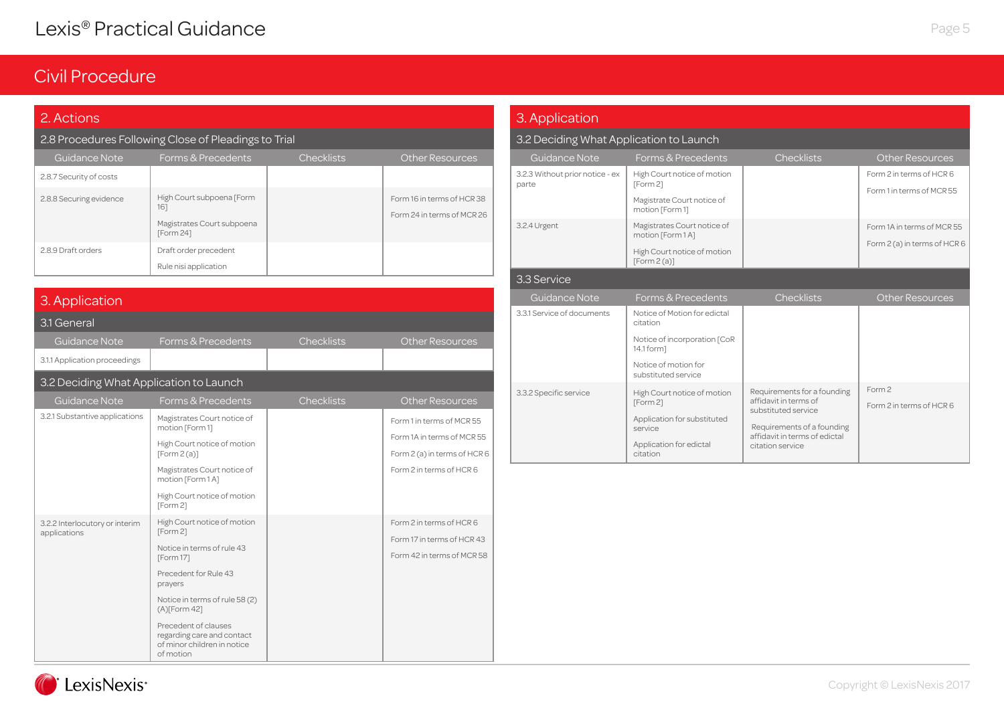## Civil Procedure

LexisNexis<sup>®</sup>

#### 2. Actions

### 2.8 Procedures Following Close of Pleadings to Trial

| Guidance Note           | Forms & Precedents                                                          | <b>Checklists</b> | <b>Other Resources</b>                                   |
|-------------------------|-----------------------------------------------------------------------------|-------------------|----------------------------------------------------------|
| 2.8.7 Security of costs |                                                                             |                   |                                                          |
| 2.8.8 Securing evidence | High Court subpoena [Form<br>161<br>Magistrates Court subpoena<br>[Form 24] |                   | Form 16 in terms of HCR 38<br>Form 24 in terms of MCR 26 |
| 2.8.9 Draft orders      | Draft order precedent<br>Rule nisi application                              |                   |                                                          |

| 3. Application                                 |                                                                                                                                                                                                                                                                               |                   |                                                                                                                     |  |  |  |  |  |
|------------------------------------------------|-------------------------------------------------------------------------------------------------------------------------------------------------------------------------------------------------------------------------------------------------------------------------------|-------------------|---------------------------------------------------------------------------------------------------------------------|--|--|--|--|--|
| 3.1 General                                    |                                                                                                                                                                                                                                                                               |                   |                                                                                                                     |  |  |  |  |  |
| <b>Guidance Note</b>                           | Forms & Precedents                                                                                                                                                                                                                                                            | <b>Checklists</b> | <b>Other Resources</b>                                                                                              |  |  |  |  |  |
| 3.1.1 Application proceedings                  |                                                                                                                                                                                                                                                                               |                   |                                                                                                                     |  |  |  |  |  |
| 3.2 Deciding What Application to Launch        |                                                                                                                                                                                                                                                                               |                   |                                                                                                                     |  |  |  |  |  |
| Guidance Note                                  | Forms & Precedents                                                                                                                                                                                                                                                            | <b>Checklists</b> | <b>Other Resources</b>                                                                                              |  |  |  |  |  |
| 3.2.1 Substantive applications                 | Magistrates Court notice of<br>motion [Form 1]<br>High Court notice of motion<br>[Form2(a)]<br>Magistrates Court notice of                                                                                                                                                    |                   | Form 1 in terms of MCR 55<br>Form 1A in terms of MCR 55<br>Form 2 (a) in terms of HCR 6<br>Form 2 in terms of HCR 6 |  |  |  |  |  |
|                                                | motion [Form 1 A]<br>High Court notice of motion<br>[Form 2]                                                                                                                                                                                                                  |                   |                                                                                                                     |  |  |  |  |  |
| 3.2.2 Interlocutory or interim<br>applications | High Court notice of motion<br>[Form 2]<br>Notice in terms of rule 43<br>[Form 17]<br>Precedent for Rule 43<br>prayers<br>Notice in terms of rule 58 (2)<br>$(A)$ [Form 42]<br>Precedent of clauses<br>regarding care and contact<br>of minor children in notice<br>of motion |                   | Form 2 in terms of HCR 6<br>Form 17 in terms of HCR 43<br>Form 42 in terms of MCR 58                                |  |  |  |  |  |

| 2. Actions                              |                                                                               |                   |                                                          | 3. Application                           |                                                                   |                                                                                                        |                              |
|-----------------------------------------|-------------------------------------------------------------------------------|-------------------|----------------------------------------------------------|------------------------------------------|-------------------------------------------------------------------|--------------------------------------------------------------------------------------------------------|------------------------------|
|                                         | 2.8 Procedures Following Close of Pleadings to Trial                          |                   |                                                          | 3.2 Deciding What Application to Launch  |                                                                   |                                                                                                        |                              |
| Guidance Note                           | Forms & Precedents                                                            | <b>Checklists</b> | Other Resources                                          | Guidance Note                            | Forms & Precedents                                                | <b>Checklists</b>                                                                                      | Other Resources              |
| 2.8.7 Security of costs                 |                                                                               |                   |                                                          | 3.2.3 Without prior notice - ex<br>parte | High Court notice of motion<br>[Form 2]                           |                                                                                                        | Form 2 in terms of HCR 6     |
| 2.8.8 Securing evidence                 | High Court subpoena [Form<br>161                                              |                   | Form 16 in terms of HCR 38<br>Form 24 in terms of MCR 26 |                                          | Magistrate Court notice of<br>motion [Form 1]                     |                                                                                                        | Form 1 in terms of MCR 55    |
|                                         | Magistrates Court subpoena<br>[Form 24]                                       |                   |                                                          | 3.2.4 Urgent                             | Magistrates Court notice of<br>motion [Form 1 A]                  |                                                                                                        | Form 1A in terms of MCR 55   |
| 2.8.9 Draft orders                      | Draft order precedent                                                         |                   |                                                          |                                          | High Court notice of motion<br>[Form2(a)]                         |                                                                                                        | Form 2 (a) in terms of HCR 6 |
|                                         | Rule nisi application                                                         |                   |                                                          | 3.3 Service                              |                                                                   |                                                                                                        |                              |
| 3. Application                          |                                                                               |                   |                                                          | <b>Guidance Note</b>                     | Forms & Precedents                                                | <b>Checklists</b>                                                                                      | <b>Other Resources</b>       |
| 3.1 General                             |                                                                               |                   |                                                          | 3.3.1 Service of documents               | Notice of Motion for edictal<br>citation                          |                                                                                                        |                              |
| Guidance Note                           | Forms & Precedents                                                            | <b>Checklists</b> | <b>Other Resources</b>                                   |                                          | Notice of incorporation [CoR<br>14.1 form]                        |                                                                                                        |                              |
| 3.1.1 Application proceedings           |                                                                               |                   |                                                          |                                          | Notice of motion for                                              |                                                                                                        |                              |
| 3.2 Deciding What Application to Launch |                                                                               |                   |                                                          |                                          | substituted service                                               |                                                                                                        | Form 2                       |
| Guidance Note                           | Forms & Precedents                                                            | <b>Checklists</b> | <b>Other Resources</b>                                   | 3.3.2 Specific service                   | High Court notice of motion<br>[Form 2]                           | Requirements for a founding<br>affidavit in terms of                                                   | Form 2 in terms of HCR 6     |
| 3.2.1 Substantive applications          | Magistrates Court notice of<br>motion [Form 1]<br>High Court notice of motion |                   | Form 1 in terms of MCR 55<br>Form 1A in terms of MCR 55  |                                          | Application for substituted<br>service<br>Application for edictal | substituted service<br>Requirements of a founding<br>affidavit in terms of edictal<br>citation service |                              |
|                                         | [Form2(a)]                                                                    |                   | Form $2$ (a) in terms of HCR 6                           |                                          | citation                                                          |                                                                                                        |                              |



Page 5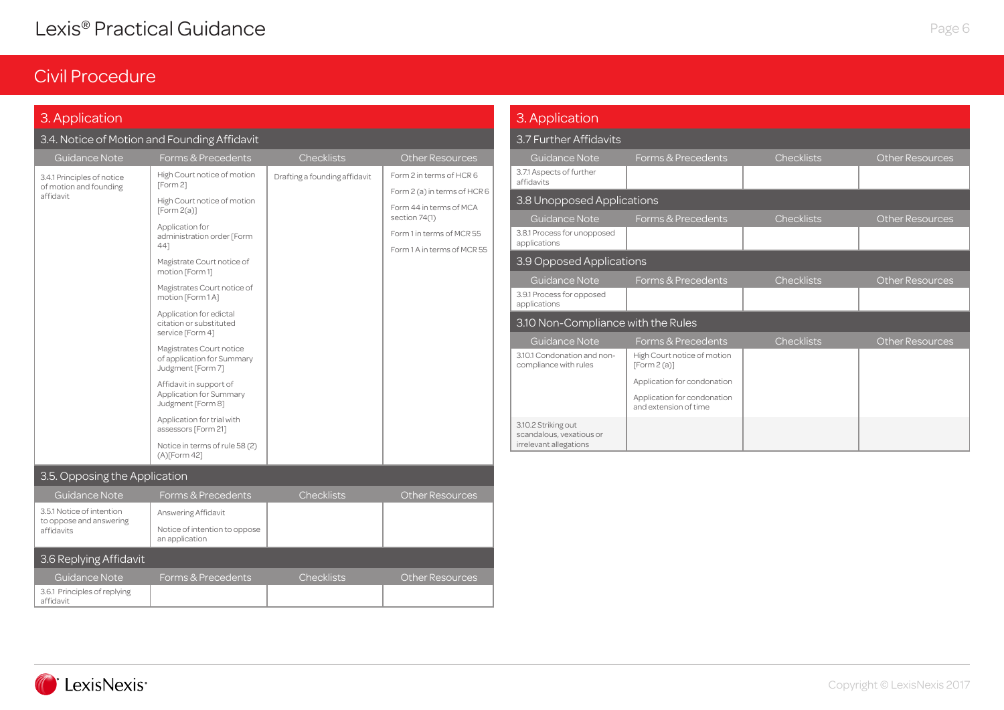## Civil Procedure

### 3. Application

### 3.4. Notice of Motion and Founding Affidavit

| <b>Guidance Note</b>                      | Forms & Precedents                                                          | <b>Checklists</b>             | <b>Other Resources</b>                   |
|-------------------------------------------|-----------------------------------------------------------------------------|-------------------------------|------------------------------------------|
| 3.4.1 Principles of notice                | High Court notice of motion                                                 | Drafting a founding affidavit | Form 2 in terms of HCR 6                 |
| of motion and founding<br>affidavit       | [Form 2]                                                                    |                               | Form 2 (a) in terms of HCR 6             |
|                                           | High Court notice of motion<br>[Form 2(a)]                                  |                               | Form 44 in terms of MCA<br>section 74(1) |
|                                           | Application for<br>administration order [Form                               |                               | Form 1 in terms of MCR 55                |
|                                           | 441                                                                         |                               | Form 1 A in terms of MCR 55              |
|                                           | Magistrate Court notice of<br>motion [Form 1]                               |                               |                                          |
|                                           | Magistrates Court notice of<br>motion [Form 1 A]                            |                               |                                          |
|                                           | Application for edictal<br>citation or substituted<br>service [Form 4]      |                               |                                          |
|                                           | Magistrates Court notice<br>of application for Summary<br>Judgment [Form 7] |                               |                                          |
|                                           | Affidavit in support of<br>Application for Summary<br>Judgment [Form 8]     |                               |                                          |
|                                           | Application for trial with<br>assessors [Form 21]                           |                               |                                          |
|                                           | Notice in terms of rule 58 (2)<br>(A)[Form 42]                              |                               |                                          |
| 3.5. Opposing the Application             |                                                                             |                               |                                          |
| <b>Guidance Note</b>                      | Forms & Precedents                                                          | Checklists                    | <b>Other Resources</b>                   |
| 3.5.1 Notice of intention                 | Answering Affidavit                                                         |                               |                                          |
| to oppose and answering<br>affidavits     | Notice of intention to oppose<br>an application                             |                               |                                          |
| 3.6 Replying Affidavit                    |                                                                             |                               |                                          |
| <b>Guidance Note</b>                      | Forms & Precedents                                                          | Checklists                    | <b>Other Resources</b>                   |
| 3.6.1 Principles of replying<br>affidavit |                                                                             |                               |                                          |

| 3. Application                                                            |                                                                                                                                  |                   |                        |  |  |  |  |  |
|---------------------------------------------------------------------------|----------------------------------------------------------------------------------------------------------------------------------|-------------------|------------------------|--|--|--|--|--|
| 3.7 Further Affidavits                                                    |                                                                                                                                  |                   |                        |  |  |  |  |  |
| <b>Guidance Note</b><br>3.7.1 Aspects of further<br>affidavits            | Forms & Precedents                                                                                                               | <b>Checklists</b> | <b>Other Resources</b> |  |  |  |  |  |
| 3.8 Unopposed Applications                                                |                                                                                                                                  |                   |                        |  |  |  |  |  |
| <b>Guidance Note</b><br>3.8.1 Process for unopposed<br>applications       | Forms & Precedents                                                                                                               | <b>Checklists</b> | <b>Other Resources</b> |  |  |  |  |  |
| 3.9 Opposed Applications                                                  |                                                                                                                                  |                   |                        |  |  |  |  |  |
| <b>Guidance Note</b><br>3.9.1 Process for opposed<br>applications         | Forms & Precedents                                                                                                               | <b>Checklists</b> | <b>Other Resources</b> |  |  |  |  |  |
| 3.10 Non-Compliance with the Rules                                        |                                                                                                                                  |                   |                        |  |  |  |  |  |
| <b>Guidance Note</b>                                                      | Forms & Precedents                                                                                                               | <b>Checklists</b> | <b>Other Resources</b> |  |  |  |  |  |
| 3.10.1 Condonation and non-<br>compliance with rules                      | High Court notice of motion<br>[Form2(a)]<br>Application for condonation<br>Application for condonation<br>and extension of time |                   |                        |  |  |  |  |  |
| 3.10.2 Striking out<br>scandalous, vexatious or<br>irrelevant allegations |                                                                                                                                  |                   |                        |  |  |  |  |  |

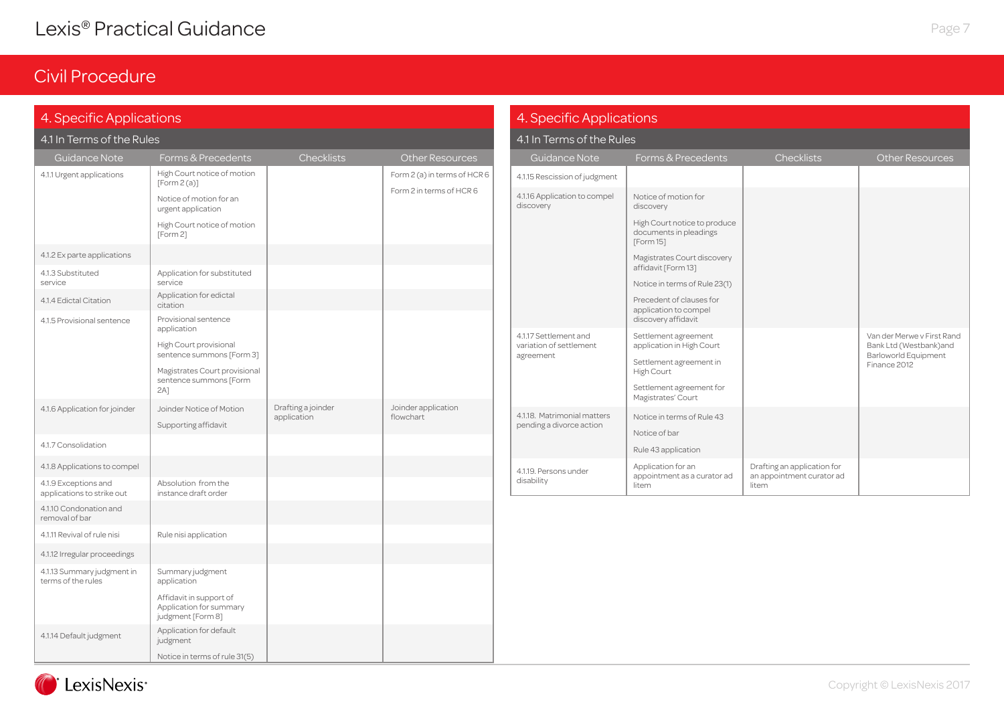| 4. Specific Applications                           |                                                                         |                                   |                                  | 4. Specific Applications                                      |                                                                     |                                                          |                                                                              |  |
|----------------------------------------------------|-------------------------------------------------------------------------|-----------------------------------|----------------------------------|---------------------------------------------------------------|---------------------------------------------------------------------|----------------------------------------------------------|------------------------------------------------------------------------------|--|
| 4.1 In Terms of the Rules                          |                                                                         |                                   |                                  | 4.1 In Terms of the Rules                                     |                                                                     |                                                          |                                                                              |  |
| Guidance Note                                      | Forms & Precedents                                                      | <b>Checklists</b>                 | Other Resources                  | Guidance Note                                                 | Forms & Precedents                                                  | Checklists                                               | <b>Other Resources</b>                                                       |  |
| 4.1.1 Urgent applications                          | High Court notice of motion<br>[Form2(a)]                               |                                   | Form 2 (a) in terms of HCR 6     | 4.1.15 Rescission of judgment                                 |                                                                     |                                                          |                                                                              |  |
|                                                    | Notice of motion for an<br>urgent application                           |                                   | Form 2 in terms of HCR 6         | 4.1.16 Application to compel<br>discovery                     | Notice of motion for<br>discovery                                   |                                                          |                                                                              |  |
|                                                    | High Court notice of motion<br>[Form 2]                                 |                                   |                                  |                                                               | High Court notice to produce<br>documents in pleadings<br>[Form 15] |                                                          |                                                                              |  |
| 4.1.2 Ex parte applications                        |                                                                         |                                   |                                  |                                                               | Magistrates Court discovery                                         |                                                          |                                                                              |  |
| 4.1.3 Substituted<br>service                       | Application for substituted<br>service                                  |                                   |                                  |                                                               | affidavit [Form 13]<br>Notice in terms of Rule 23(1)                |                                                          |                                                                              |  |
| 4.1.4 Edictal Citation                             | Application for edictal<br>citation                                     |                                   |                                  |                                                               | Precedent of clauses for<br>application to compel                   |                                                          |                                                                              |  |
| 4.1.5 Provisional sentence                         | Provisional sentence<br>application                                     |                                   |                                  |                                                               | discovery affidavit                                                 |                                                          |                                                                              |  |
|                                                    | High Court provisional<br>sentence summons [Form 3]                     |                                   |                                  | 4.1.17 Settlement and<br>variation of settlement<br>agreement | Settlement agreement<br>application in High Court                   |                                                          | Van der Merwe v First Rand<br>Bank Ltd (Westbank)and<br>Barloworld Equipment |  |
|                                                    | Magistrates Court provisional<br>sentence summons [Form<br>$2A$ ]       |                                   |                                  |                                                               | Settlement agreement in<br>High Court<br>Settlement agreement for   |                                                          | Finance 2012                                                                 |  |
| 4.1.6 Application for joinder                      | Joinder Notice of Motion                                                | Drafting a joinder<br>application | Joinder application<br>flowchart | 4.1.18. Matrimonial matters                                   | Magistrates' Court<br>Notice in terms of Rule 43                    |                                                          |                                                                              |  |
|                                                    | Supporting affidavit                                                    |                                   |                                  | pending a divorce action                                      | Notice of bar                                                       |                                                          |                                                                              |  |
| 4.1.7 Consolidation                                |                                                                         |                                   |                                  |                                                               | Rule 43 application                                                 |                                                          |                                                                              |  |
| 4.1.8 Applications to compel                       |                                                                         |                                   |                                  | 4.1.19. Persons under                                         | Application for an<br>appointment as a curator ad                   | Drafting an application for<br>an appointment curator ad |                                                                              |  |
| 4.1.9 Exceptions and<br>applications to strike out | Absolution from the<br>instance draft order                             |                                   |                                  | disability                                                    | litem                                                               | litem                                                    |                                                                              |  |
| 4.1.10 Condonation and<br>removal of bar           |                                                                         |                                   |                                  |                                                               |                                                                     |                                                          |                                                                              |  |
| 4.1.11 Revival of rule nisi                        | Rule nisi application                                                   |                                   |                                  |                                                               |                                                                     |                                                          |                                                                              |  |
| 4.1.12 Irregular proceedings                       |                                                                         |                                   |                                  |                                                               |                                                                     |                                                          |                                                                              |  |
| 4.1.13 Summary judgment in<br>terms of the rules   | Summary judgment<br>application                                         |                                   |                                  |                                                               |                                                                     |                                                          |                                                                              |  |
|                                                    | Affidavit in support of<br>Application for summary<br>judgment [Form 8] |                                   |                                  |                                                               |                                                                     |                                                          |                                                                              |  |
| 4.1.14 Default judgment                            | Application for default<br>judgment                                     |                                   |                                  |                                                               |                                                                     |                                                          |                                                                              |  |
|                                                    | Notice in terms of rule 31(5)                                           |                                   |                                  |                                                               |                                                                     |                                                          |                                                                              |  |

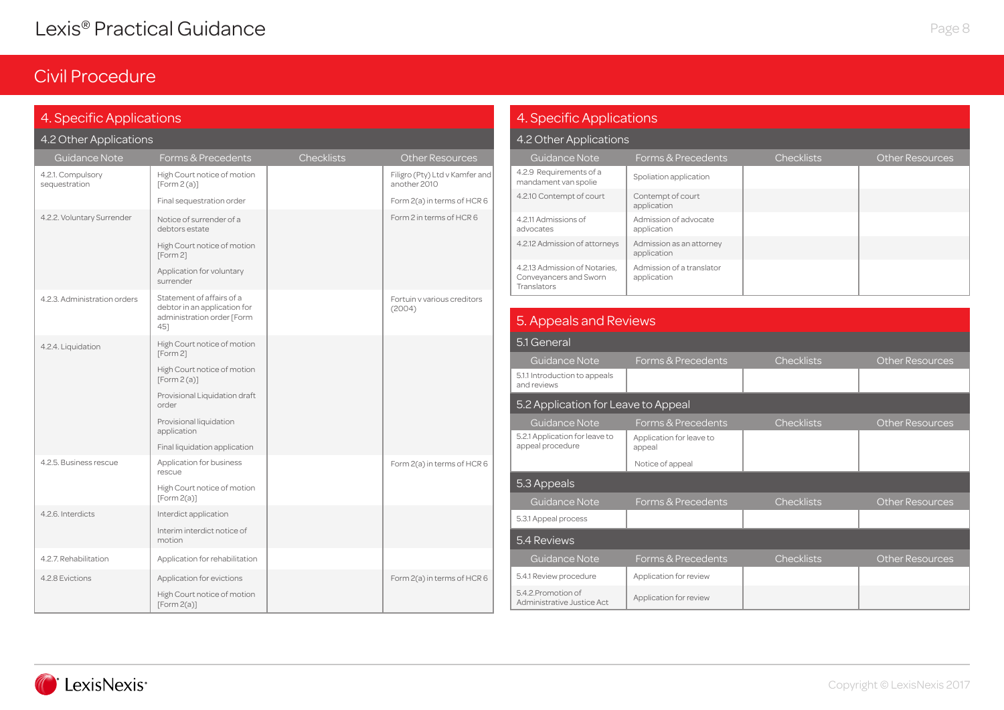### Civil Procedure

### 4. Specific Applications

#### 4.2 Other Applications

| <b>Guidance Note</b>               | Forms & Precedents                                                                             | <b>Checklists</b> | <b>Other Resources</b>                         |
|------------------------------------|------------------------------------------------------------------------------------------------|-------------------|------------------------------------------------|
| 4.2.1. Compulsory<br>sequestration | High Court notice of motion<br>[Form2(a)]                                                      |                   | Filigro (Pty) Ltd v Kamfer and<br>another 2010 |
|                                    | Final sequestration order                                                                      |                   | Form 2(a) in terms of HCR 6                    |
| 4.2.2. Voluntary Surrender         | Notice of surrender of a<br>debtors estate                                                     |                   | Form 2 in terms of HCR 6                       |
|                                    | High Court notice of motion<br>[Form 2]                                                        |                   |                                                |
|                                    | Application for voluntary<br>surrender                                                         |                   |                                                |
| 4.2.3. Administration orders       | Statement of affairs of a<br>debtor in an application for<br>administration order [Form<br>45] |                   | Fortuin v various creditors<br>(2004)          |
| 4.2.4. Liquidation                 | High Court notice of motion<br>[Form 2]                                                        |                   |                                                |
|                                    | High Court notice of motion<br>[Form2(a)]                                                      |                   |                                                |
|                                    | Provisional Liquidation draft<br>order                                                         |                   |                                                |
|                                    | Provisional liquidation<br>application                                                         |                   |                                                |
|                                    | Final liquidation application                                                                  |                   |                                                |
| 4.2.5. Business rescue             | Application for business<br>rescue                                                             |                   | Form 2(a) in terms of HCR 6                    |
|                                    | High Court notice of motion<br>[Form 2(a)]                                                     |                   |                                                |
| 4.2.6. Interdicts                  | Interdict application                                                                          |                   |                                                |
|                                    | Interim interdict notice of<br>motion                                                          |                   |                                                |
| 4.2.7. Rehabilitation              | Application for rehabilitation                                                                 |                   |                                                |
| 4.2.8 Evictions                    | Application for evictions                                                                      |                   | Form 2(a) in terms of HCR 6                    |
|                                    | High Court notice of motion<br>[Form2(a)]                                                      |                   |                                                |

### 4. Specific Applications

#### 4.2 Other Applications

| Guidance Note                                                          | Forms & Precedents                       | <b>Checklists</b> | <b>Other Resources</b> |
|------------------------------------------------------------------------|------------------------------------------|-------------------|------------------------|
| 4.2.9 Requirements of a<br>mandament van spolie                        | Spoliation application                   |                   |                        |
| 4.2.10 Contempt of court                                               | Contempt of court<br>application         |                   |                        |
| 4.2.11 Admissions of<br>advocates                                      | Admission of advocate<br>application     |                   |                        |
| 4.2.12 Admission of attorneys                                          | Admission as an attorney<br>application  |                   |                        |
| 4.2.13 Admission of Notaries.<br>Conveyancers and Sworn<br>Translators | Admission of a translator<br>application |                   |                        |

### 5. Appeals and Reviews

| 5.1 General                                        |                                    |                   |                        |  |
|----------------------------------------------------|------------------------------------|-------------------|------------------------|--|
| <b>Guidance Note</b>                               | Forms & Precedents                 | <b>Checklists</b> | <b>Other Resources</b> |  |
| 5.1.1 Introduction to appeals<br>and reviews       |                                    |                   |                        |  |
| 5.2 Application for Leave to Appeal                |                                    |                   |                        |  |
| Guidance Note                                      | Forms & Precedents                 | <b>Checklists</b> | <b>Other Resources</b> |  |
| 5.2.1 Application for leave to<br>appeal procedure | Application for leave to<br>appeal |                   |                        |  |
|                                                    | Notice of appeal                   |                   |                        |  |
| 5.3 Appeals                                        |                                    |                   |                        |  |
| Guidance Note                                      | Forms & Precedents                 | <b>Checklists</b> | <b>Other Resources</b> |  |
| 5.3.1 Appeal process                               |                                    |                   |                        |  |
| 5.4 Reviews                                        |                                    |                   |                        |  |
|                                                    |                                    |                   |                        |  |
| Guidance Note                                      | Forms & Precedents                 | <b>Checklists</b> | <b>Other Resources</b> |  |
| 5.4.1 Review procedure                             | Application for review             |                   |                        |  |